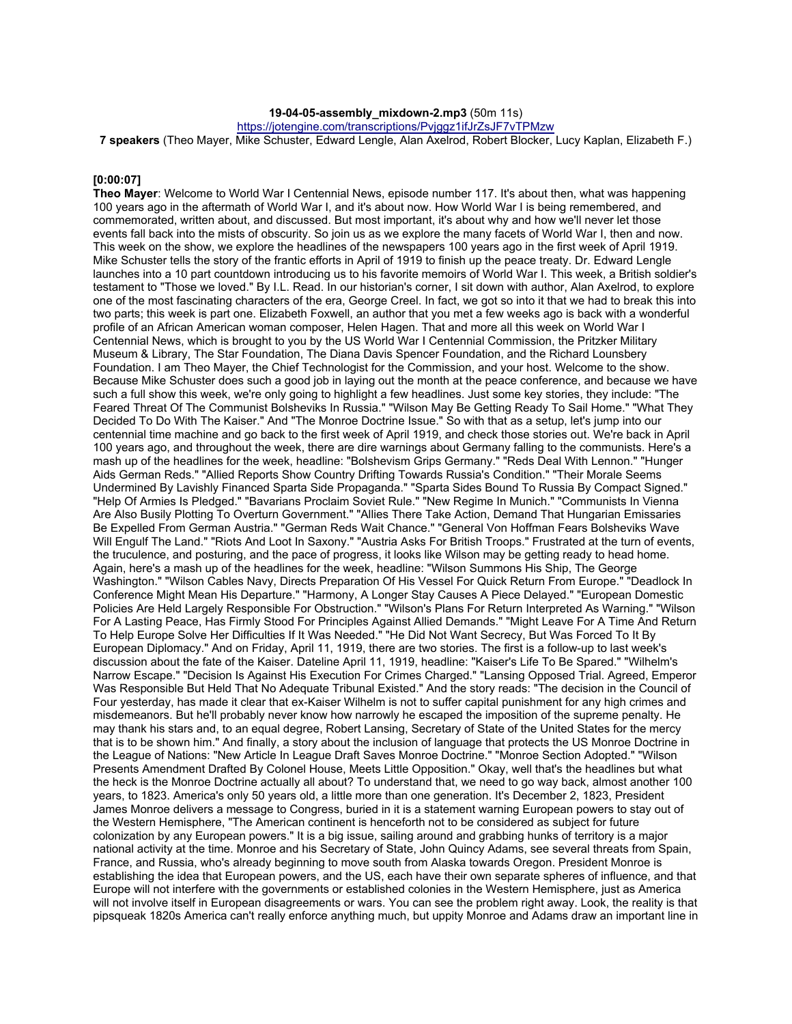# **19-04-05-assembly\_mixdown-2.mp3** (50m 11s)

https://jotengine.com/transcriptions/Pvjggz1ifJrZsJF7vTPMzw

**7 speakers** (Theo Mayer, Mike Schuster, Edward Lengle, Alan Axelrod, Robert Blocker, Lucy Kaplan, Elizabeth F.)

# **[0:00:07]**

**Theo Mayer**: Welcome to World War I Centennial News, episode number 117. It's about then, what was happening 100 years ago in the aftermath of World War I, and it's about now. How World War I is being remembered, and commemorated, written about, and discussed. But most important, it's about why and how we'll never let those events fall back into the mists of obscurity. So join us as we explore the many facets of World War I, then and now. This week on the show, we explore the headlines of the newspapers 100 years ago in the first week of April 1919. Mike Schuster tells the story of the frantic efforts in April of 1919 to finish up the peace treaty. Dr. Edward Lengle launches into a 10 part countdown introducing us to his favorite memoirs of World War I. This week, a British soldier's testament to "Those we loved." By I.L. Read. In our historian's corner, I sit down with author, Alan Axelrod, to explore one of the most fascinating characters of the era, George Creel. In fact, we got so into it that we had to break this into two parts; this week is part one. Elizabeth Foxwell, an author that you met a few weeks ago is back with a wonderful profile of an African American woman composer, Helen Hagen. That and more all this week on World War I Centennial News, which is brought to you by the US World War I Centennial Commission, the Pritzker Military Museum & Library, The Star Foundation, The Diana Davis Spencer Foundation, and the Richard Lounsbery Foundation. I am Theo Mayer, the Chief Technologist for the Commission, and your host. Welcome to the show. Because Mike Schuster does such a good job in laying out the month at the peace conference, and because we have such a full show this week, we're only going to highlight a few headlines. Just some key stories, they include: "The Feared Threat Of The Communist Bolsheviks In Russia." "Wilson May Be Getting Ready To Sail Home." "What They Decided To Do With The Kaiser." And "The Monroe Doctrine Issue." So with that as a setup, let's jump into our centennial time machine and go back to the first week of April 1919, and check those stories out. We're back in April 100 years ago, and throughout the week, there are dire warnings about Germany falling to the communists. Here's a mash up of the headlines for the week, headline: "Bolshevism Grips Germany." "Reds Deal With Lennon." "Hunger Aids German Reds." "Allied Reports Show Country Drifting Towards Russia's Condition." "Their Morale Seems Undermined By Lavishly Financed Sparta Side Propaganda." "Sparta Sides Bound To Russia By Compact Signed." "Help Of Armies Is Pledged." "Bavarians Proclaim Soviet Rule." "New Regime In Munich." "Communists In Vienna Are Also Busily Plotting To Overturn Government." "Allies There Take Action, Demand That Hungarian Emissaries Be Expelled From German Austria." "German Reds Wait Chance." "General Von Hoffman Fears Bolsheviks Wave Will Engulf The Land." "Riots And Loot In Saxony." "Austria Asks For British Troops." Frustrated at the turn of events, the truculence, and posturing, and the pace of progress, it looks like Wilson may be getting ready to head home. Again, here's a mash up of the headlines for the week, headline: "Wilson Summons His Ship, The George Washington." "Wilson Cables Navy, Directs Preparation Of His Vessel For Quick Return From Europe." "Deadlock In Conference Might Mean His Departure." "Harmony, A Longer Stay Causes A Piece Delayed." "European Domestic Policies Are Held Largely Responsible For Obstruction." "Wilson's Plans For Return Interpreted As Warning." "Wilson For A Lasting Peace, Has Firmly Stood For Principles Against Allied Demands." "Might Leave For A Time And Return To Help Europe Solve Her Difficulties If It Was Needed." "He Did Not Want Secrecy, But Was Forced To It By European Diplomacy." And on Friday, April 11, 1919, there are two stories. The first is a follow-up to last week's discussion about the fate of the Kaiser. Dateline April 11, 1919, headline: "Kaiser's Life To Be Spared." "Wilhelm's Narrow Escape." "Decision Is Against His Execution For Crimes Charged." "Lansing Opposed Trial. Agreed, Emperor Was Responsible But Held That No Adequate Tribunal Existed." And the story reads: "The decision in the Council of Four yesterday, has made it clear that ex-Kaiser Wilhelm is not to suffer capital punishment for any high crimes and misdemeanors. But he'll probably never know how narrowly he escaped the imposition of the supreme penalty. He may thank his stars and, to an equal degree, Robert Lansing, Secretary of State of the United States for the mercy that is to be shown him." And finally, a story about the inclusion of language that protects the US Monroe Doctrine in the League of Nations: "New Article In League Draft Saves Monroe Doctrine." "Monroe Section Adopted." "Wilson Presents Amendment Drafted By Colonel House, Meets Little Opposition." Okay, well that's the headlines but what the heck is the Monroe Doctrine actually all about? To understand that, we need to go way back, almost another 100 years, to 1823. America's only 50 years old, a little more than one generation. It's December 2, 1823, President James Monroe delivers a message to Congress, buried in it is a statement warning European powers to stay out of the Western Hemisphere, "The American continent is henceforth not to be considered as subject for future colonization by any European powers." It is a big issue, sailing around and grabbing hunks of territory is a major national activity at the time. Monroe and his Secretary of State, John Quincy Adams, see several threats from Spain, France, and Russia, who's already beginning to move south from Alaska towards Oregon. President Monroe is establishing the idea that European powers, and the US, each have their own separate spheres of influence, and that Europe will not interfere with the governments or established colonies in the Western Hemisphere, just as America will not involve itself in European disagreements or wars. You can see the problem right away. Look, the reality is that pipsqueak 1820s America can't really enforce anything much, but uppity Monroe and Adams draw an important line in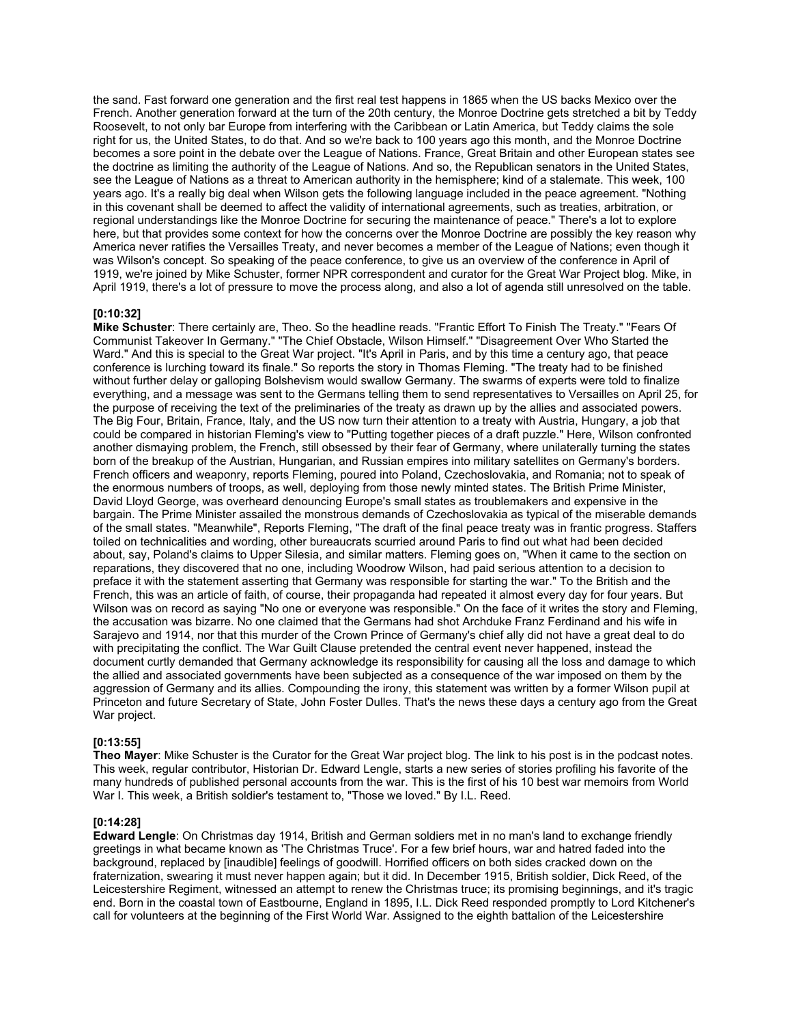the sand. Fast forward one generation and the first real test happens in 1865 when the US backs Mexico over the French. Another generation forward at the turn of the 20th century, the Monroe Doctrine gets stretched a bit by Teddy Roosevelt, to not only bar Europe from interfering with the Caribbean or Latin America, but Teddy claims the sole right for us, the United States, to do that. And so we're back to 100 years ago this month, and the Monroe Doctrine becomes a sore point in the debate over the League of Nations. France, Great Britain and other European states see the doctrine as limiting the authority of the League of Nations. And so, the Republican senators in the United States, see the League of Nations as a threat to American authority in the hemisphere; kind of a stalemate. This week, 100 years ago. It's a really big deal when Wilson gets the following language included in the peace agreement. "Nothing in this covenant shall be deemed to affect the validity of international agreements, such as treaties, arbitration, or regional understandings like the Monroe Doctrine for securing the maintenance of peace." There's a lot to explore here, but that provides some context for how the concerns over the Monroe Doctrine are possibly the key reason why America never ratifies the Versailles Treaty, and never becomes a member of the League of Nations; even though it was Wilson's concept. So speaking of the peace conference, to give us an overview of the conference in April of 1919, we're joined by Mike Schuster, former NPR correspondent and curator for the Great War Project blog. Mike, in April 1919, there's a lot of pressure to move the process along, and also a lot of agenda still unresolved on the table.

# **[0:10:32]**

**Mike Schuster**: There certainly are, Theo. So the headline reads. "Frantic Effort To Finish The Treaty." "Fears Of Communist Takeover In Germany." "The Chief Obstacle, Wilson Himself." "Disagreement Over Who Started the Ward." And this is special to the Great War project. "It's April in Paris, and by this time a century ago, that peace conference is lurching toward its finale." So reports the story in Thomas Fleming. "The treaty had to be finished without further delay or galloping Bolshevism would swallow Germany. The swarms of experts were told to finalize everything, and a message was sent to the Germans telling them to send representatives to Versailles on April 25, for the purpose of receiving the text of the preliminaries of the treaty as drawn up by the allies and associated powers. The Big Four, Britain, France, Italy, and the US now turn their attention to a treaty with Austria, Hungary, a job that could be compared in historian Fleming's view to "Putting together pieces of a draft puzzle." Here, Wilson confronted another dismaying problem, the French, still obsessed by their fear of Germany, where unilaterally turning the states born of the breakup of the Austrian, Hungarian, and Russian empires into military satellites on Germany's borders. French officers and weaponry, reports Fleming, poured into Poland, Czechoslovakia, and Romania; not to speak of the enormous numbers of troops, as well, deploying from those newly minted states. The British Prime Minister, David Lloyd George, was overheard denouncing Europe's small states as troublemakers and expensive in the bargain. The Prime Minister assailed the monstrous demands of Czechoslovakia as typical of the miserable demands of the small states. "Meanwhile", Reports Fleming, "The draft of the final peace treaty was in frantic progress. Staffers toiled on technicalities and wording, other bureaucrats scurried around Paris to find out what had been decided about, say, Poland's claims to Upper Silesia, and similar matters. Fleming goes on, "When it came to the section on reparations, they discovered that no one, including Woodrow Wilson, had paid serious attention to a decision to preface it with the statement asserting that Germany was responsible for starting the war." To the British and the French, this was an article of faith, of course, their propaganda had repeated it almost every day for four years. But Wilson was on record as saying "No one or everyone was responsible." On the face of it writes the story and Fleming, the accusation was bizarre. No one claimed that the Germans had shot Archduke Franz Ferdinand and his wife in Sarajevo and 1914, nor that this murder of the Crown Prince of Germany's chief ally did not have a great deal to do with precipitating the conflict. The War Guilt Clause pretended the central event never happened, instead the document curtly demanded that Germany acknowledge its responsibility for causing all the loss and damage to which the allied and associated governments have been subjected as a consequence of the war imposed on them by the aggression of Germany and its allies. Compounding the irony, this statement was written by a former Wilson pupil at Princeton and future Secretary of State, John Foster Dulles. That's the news these days a century ago from the Great War project.

#### **[0:13:55]**

**Theo Mayer**: Mike Schuster is the Curator for the Great War project blog. The link to his post is in the podcast notes. This week, regular contributor, Historian Dr. Edward Lengle, starts a new series of stories profiling his favorite of the many hundreds of published personal accounts from the war. This is the first of his 10 best war memoirs from World War I. This week, a British soldier's testament to, "Those we loved." By I.L. Reed.

# **[0:14:28]**

**Edward Lengle**: On Christmas day 1914, British and German soldiers met in no man's land to exchange friendly greetings in what became known as 'The Christmas Truce'. For a few brief hours, war and hatred faded into the background, replaced by [inaudible] feelings of goodwill. Horrified officers on both sides cracked down on the fraternization, swearing it must never happen again; but it did. In December 1915, British soldier, Dick Reed, of the Leicestershire Regiment, witnessed an attempt to renew the Christmas truce; its promising beginnings, and it's tragic end. Born in the coastal town of Eastbourne, England in 1895, I.L. Dick Reed responded promptly to Lord Kitchener's call for volunteers at the beginning of the First World War. Assigned to the eighth battalion of the Leicestershire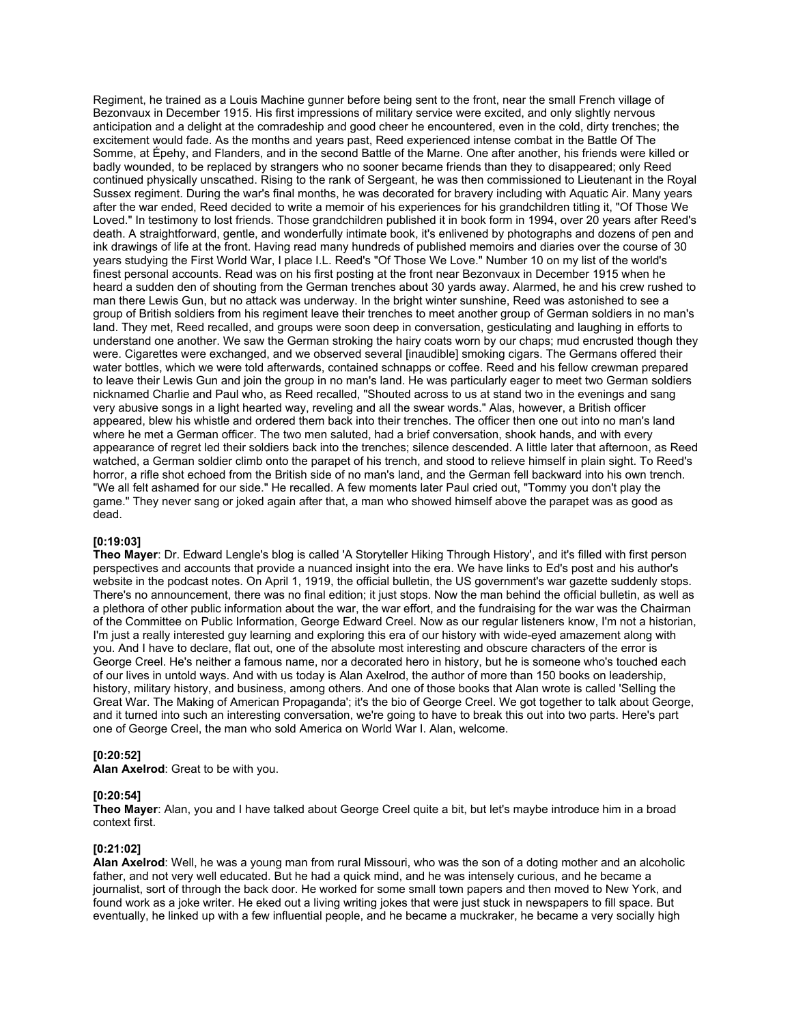Regiment, he trained as a Louis Machine gunner before being sent to the front, near the small French village of Bezonvaux in December 1915. His first impressions of military service were excited, and only slightly nervous anticipation and a delight at the comradeship and good cheer he encountered, even in the cold, dirty trenches; the excitement would fade. As the months and years past, Reed experienced intense combat in the Battle Of The Somme, at Épehy, and Flanders, and in the second Battle of the Marne. One after another, his friends were killed or badly wounded, to be replaced by strangers who no sooner became friends than they to disappeared; only Reed continued physically unscathed. Rising to the rank of Sergeant, he was then commissioned to Lieutenant in the Royal Sussex regiment. During the war's final months, he was decorated for bravery including with Aquatic Air. Many years after the war ended, Reed decided to write a memoir of his experiences for his grandchildren titling it, "Of Those We Loved." In testimony to lost friends. Those grandchildren published it in book form in 1994, over 20 years after Reed's death. A straightforward, gentle, and wonderfully intimate book, it's enlivened by photographs and dozens of pen and ink drawings of life at the front. Having read many hundreds of published memoirs and diaries over the course of 30 years studying the First World War, I place I.L. Reed's "Of Those We Love." Number 10 on my list of the world's finest personal accounts. Read was on his first posting at the front near Bezonvaux in December 1915 when he heard a sudden den of shouting from the German trenches about 30 yards away. Alarmed, he and his crew rushed to man there Lewis Gun, but no attack was underway. In the bright winter sunshine, Reed was astonished to see a group of British soldiers from his regiment leave their trenches to meet another group of German soldiers in no man's land. They met, Reed recalled, and groups were soon deep in conversation, gesticulating and laughing in efforts to understand one another. We saw the German stroking the hairy coats worn by our chaps; mud encrusted though they were. Cigarettes were exchanged, and we observed several [inaudible] smoking cigars. The Germans offered their water bottles, which we were told afterwards, contained schnapps or coffee. Reed and his fellow crewman prepared to leave their Lewis Gun and join the group in no man's land. He was particularly eager to meet two German soldiers nicknamed Charlie and Paul who, as Reed recalled, "Shouted across to us at stand two in the evenings and sang very abusive songs in a light hearted way, reveling and all the swear words." Alas, however, a British officer appeared, blew his whistle and ordered them back into their trenches. The officer then one out into no man's land where he met a German officer. The two men saluted, had a brief conversation, shook hands, and with every appearance of regret led their soldiers back into the trenches; silence descended. A little later that afternoon, as Reed watched, a German soldier climb onto the parapet of his trench, and stood to relieve himself in plain sight. To Reed's horror, a rifle shot echoed from the British side of no man's land, and the German fell backward into his own trench. "We all felt ashamed for our side." He recalled. A few moments later Paul cried out, "Tommy you don't play the game." They never sang or joked again after that, a man who showed himself above the parapet was as good as dead.

# **[0:19:03]**

**Theo Mayer**: Dr. Edward Lengle's blog is called 'A Storyteller Hiking Through History', and it's filled with first person perspectives and accounts that provide a nuanced insight into the era. We have links to Ed's post and his author's website in the podcast notes. On April 1, 1919, the official bulletin, the US government's war gazette suddenly stops. There's no announcement, there was no final edition; it just stops. Now the man behind the official bulletin, as well as a plethora of other public information about the war, the war effort, and the fundraising for the war was the Chairman of the Committee on Public Information, George Edward Creel. Now as our regular listeners know, I'm not a historian, I'm just a really interested guy learning and exploring this era of our history with wide-eyed amazement along with you. And I have to declare, flat out, one of the absolute most interesting and obscure characters of the error is George Creel. He's neither a famous name, nor a decorated hero in history, but he is someone who's touched each of our lives in untold ways. And with us today is Alan Axelrod, the author of more than 150 books on leadership, history, military history, and business, among others. And one of those books that Alan wrote is called 'Selling the Great War. The Making of American Propaganda'; it's the bio of George Creel. We got together to talk about George, and it turned into such an interesting conversation, we're going to have to break this out into two parts. Here's part one of George Creel, the man who sold America on World War I. Alan, welcome.

# **[0:20:52]**

**Alan Axelrod**: Great to be with you.

# **[0:20:54]**

**Theo Mayer**: Alan, you and I have talked about George Creel quite a bit, but let's maybe introduce him in a broad context first.

#### **[0:21:02]**

**Alan Axelrod**: Well, he was a young man from rural Missouri, who was the son of a doting mother and an alcoholic father, and not very well educated. But he had a quick mind, and he was intensely curious, and he became a journalist, sort of through the back door. He worked for some small town papers and then moved to New York, and found work as a joke writer. He eked out a living writing jokes that were just stuck in newspapers to fill space. But eventually, he linked up with a few influential people, and he became a muckraker, he became a very socially high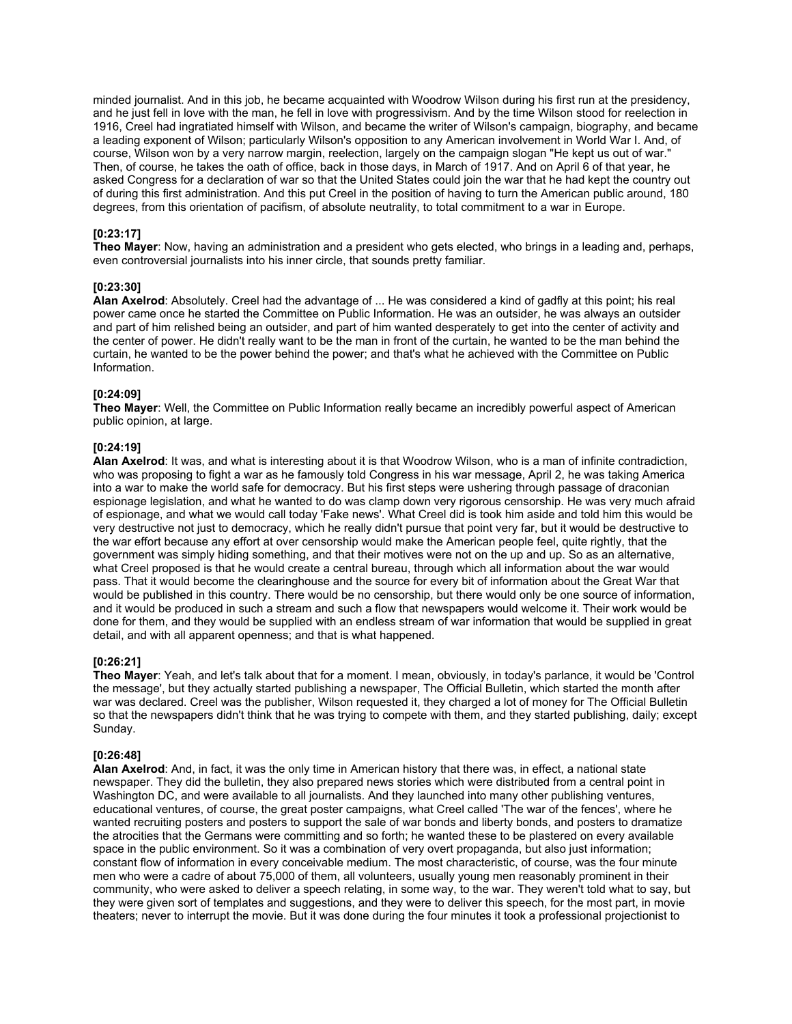minded journalist. And in this job, he became acquainted with Woodrow Wilson during his first run at the presidency, and he just fell in love with the man, he fell in love with progressivism. And by the time Wilson stood for reelection in 1916, Creel had ingratiated himself with Wilson, and became the writer of Wilson's campaign, biography, and became a leading exponent of Wilson; particularly Wilson's opposition to any American involvement in World War I. And, of course, Wilson won by a very narrow margin, reelection, largely on the campaign slogan "He kept us out of war." Then, of course, he takes the oath of office, back in those days, in March of 1917. And on April 6 of that year, he asked Congress for a declaration of war so that the United States could join the war that he had kept the country out of during this first administration. And this put Creel in the position of having to turn the American public around, 180 degrees, from this orientation of pacifism, of absolute neutrality, to total commitment to a war in Europe.

# **[0:23:17]**

**Theo Mayer**: Now, having an administration and a president who gets elected, who brings in a leading and, perhaps, even controversial journalists into his inner circle, that sounds pretty familiar.

# **[0:23:30]**

**Alan Axelrod**: Absolutely. Creel had the advantage of ... He was considered a kind of gadfly at this point; his real power came once he started the Committee on Public Information. He was an outsider, he was always an outsider and part of him relished being an outsider, and part of him wanted desperately to get into the center of activity and the center of power. He didn't really want to be the man in front of the curtain, he wanted to be the man behind the curtain, he wanted to be the power behind the power; and that's what he achieved with the Committee on Public Information.

# **[0:24:09]**

**Theo Mayer**: Well, the Committee on Public Information really became an incredibly powerful aspect of American public opinion, at large.

# **[0:24:19]**

**Alan Axelrod**: It was, and what is interesting about it is that Woodrow Wilson, who is a man of infinite contradiction, who was proposing to fight a war as he famously told Congress in his war message, April 2, he was taking America into a war to make the world safe for democracy. But his first steps were ushering through passage of draconian espionage legislation, and what he wanted to do was clamp down very rigorous censorship. He was very much afraid of espionage, and what we would call today 'Fake news'. What Creel did is took him aside and told him this would be very destructive not just to democracy, which he really didn't pursue that point very far, but it would be destructive to the war effort because any effort at over censorship would make the American people feel, quite rightly, that the government was simply hiding something, and that their motives were not on the up and up. So as an alternative, what Creel proposed is that he would create a central bureau, through which all information about the war would pass. That it would become the clearinghouse and the source for every bit of information about the Great War that would be published in this country. There would be no censorship, but there would only be one source of information, and it would be produced in such a stream and such a flow that newspapers would welcome it. Their work would be done for them, and they would be supplied with an endless stream of war information that would be supplied in great detail, and with all apparent openness; and that is what happened.

# **[0:26:21]**

**Theo Mayer**: Yeah, and let's talk about that for a moment. I mean, obviously, in today's parlance, it would be 'Control the message', but they actually started publishing a newspaper, The Official Bulletin, which started the month after war was declared. Creel was the publisher, Wilson requested it, they charged a lot of money for The Official Bulletin so that the newspapers didn't think that he was trying to compete with them, and they started publishing, daily; except Sunday.

# **[0:26:48]**

**Alan Axelrod**: And, in fact, it was the only time in American history that there was, in effect, a national state newspaper. They did the bulletin, they also prepared news stories which were distributed from a central point in Washington DC, and were available to all journalists. And they launched into many other publishing ventures, educational ventures, of course, the great poster campaigns, what Creel called 'The war of the fences', where he wanted recruiting posters and posters to support the sale of war bonds and liberty bonds, and posters to dramatize the atrocities that the Germans were committing and so forth; he wanted these to be plastered on every available space in the public environment. So it was a combination of very overt propaganda, but also just information; constant flow of information in every conceivable medium. The most characteristic, of course, was the four minute men who were a cadre of about 75,000 of them, all volunteers, usually young men reasonably prominent in their community, who were asked to deliver a speech relating, in some way, to the war. They weren't told what to say, but they were given sort of templates and suggestions, and they were to deliver this speech, for the most part, in movie theaters; never to interrupt the movie. But it was done during the four minutes it took a professional projectionist to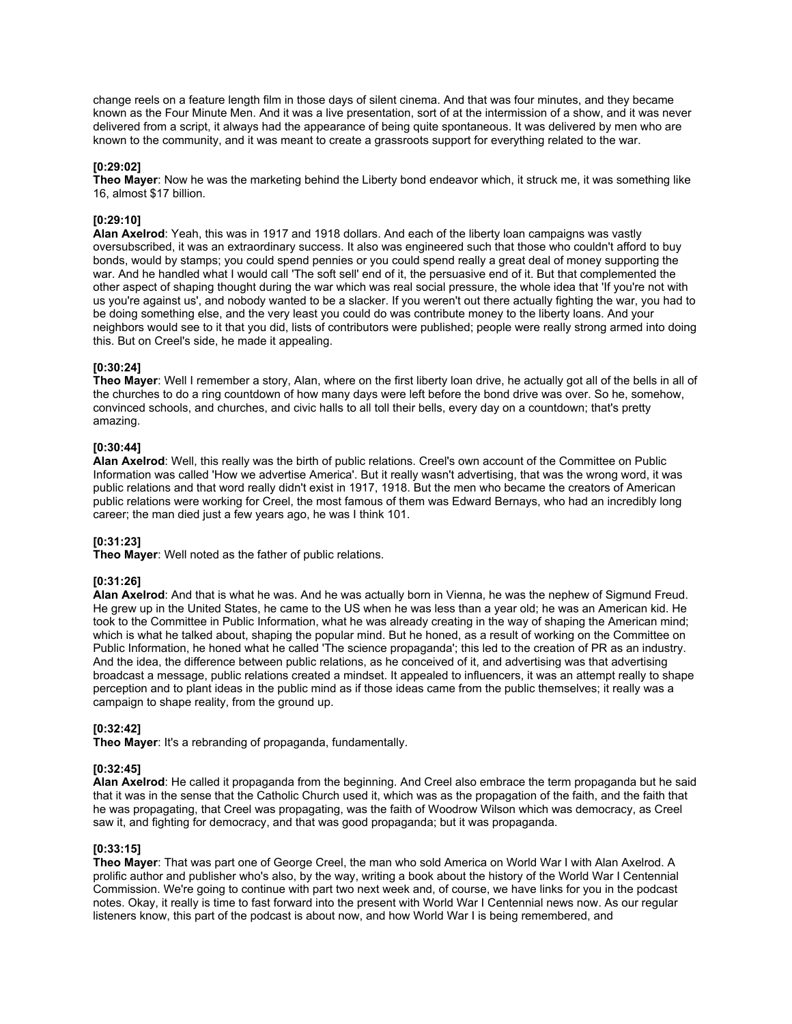change reels on a feature length film in those days of silent cinema. And that was four minutes, and they became known as the Four Minute Men. And it was a live presentation, sort of at the intermission of a show, and it was never delivered from a script, it always had the appearance of being quite spontaneous. It was delivered by men who are known to the community, and it was meant to create a grassroots support for everything related to the war.

# **[0:29:02]**

**Theo Mayer**: Now he was the marketing behind the Liberty bond endeavor which, it struck me, it was something like 16, almost \$17 billion.

# **[0:29:10]**

**Alan Axelrod**: Yeah, this was in 1917 and 1918 dollars. And each of the liberty loan campaigns was vastly oversubscribed, it was an extraordinary success. It also was engineered such that those who couldn't afford to buy bonds, would by stamps; you could spend pennies or you could spend really a great deal of money supporting the war. And he handled what I would call 'The soft sell' end of it, the persuasive end of it. But that complemented the other aspect of shaping thought during the war which was real social pressure, the whole idea that 'If you're not with us you're against us', and nobody wanted to be a slacker. If you weren't out there actually fighting the war, you had to be doing something else, and the very least you could do was contribute money to the liberty loans. And your neighbors would see to it that you did, lists of contributors were published; people were really strong armed into doing this. But on Creel's side, he made it appealing.

# **[0:30:24]**

**Theo Mayer**: Well I remember a story, Alan, where on the first liberty loan drive, he actually got all of the bells in all of the churches to do a ring countdown of how many days were left before the bond drive was over. So he, somehow, convinced schools, and churches, and civic halls to all toll their bells, every day on a countdown; that's pretty amazing.

# **[0:30:44]**

**Alan Axelrod**: Well, this really was the birth of public relations. Creel's own account of the Committee on Public Information was called 'How we advertise America'. But it really wasn't advertising, that was the wrong word, it was public relations and that word really didn't exist in 1917, 1918. But the men who became the creators of American public relations were working for Creel, the most famous of them was Edward Bernays, who had an incredibly long career; the man died just a few years ago, he was I think 101.

# **[0:31:23]**

**Theo Mayer**: Well noted as the father of public relations.

# **[0:31:26]**

**Alan Axelrod**: And that is what he was. And he was actually born in Vienna, he was the nephew of Sigmund Freud. He grew up in the United States, he came to the US when he was less than a year old; he was an American kid. He took to the Committee in Public Information, what he was already creating in the way of shaping the American mind; which is what he talked about, shaping the popular mind. But he honed, as a result of working on the Committee on Public Information, he honed what he called 'The science propaganda'; this led to the creation of PR as an industry. And the idea, the difference between public relations, as he conceived of it, and advertising was that advertising broadcast a message, public relations created a mindset. It appealed to influencers, it was an attempt really to shape perception and to plant ideas in the public mind as if those ideas came from the public themselves; it really was a campaign to shape reality, from the ground up.

# **[0:32:42]**

**Theo Mayer**: It's a rebranding of propaganda, fundamentally.

# **[0:32:45]**

**Alan Axelrod**: He called it propaganda from the beginning. And Creel also embrace the term propaganda but he said that it was in the sense that the Catholic Church used it, which was as the propagation of the faith, and the faith that he was propagating, that Creel was propagating, was the faith of Woodrow Wilson which was democracy, as Creel saw it, and fighting for democracy, and that was good propaganda; but it was propaganda.

# **[0:33:15]**

**Theo Mayer**: That was part one of George Creel, the man who sold America on World War I with Alan Axelrod. A prolific author and publisher who's also, by the way, writing a book about the history of the World War I Centennial Commission. We're going to continue with part two next week and, of course, we have links for you in the podcast notes. Okay, it really is time to fast forward into the present with World War I Centennial news now. As our regular listeners know, this part of the podcast is about now, and how World War I is being remembered, and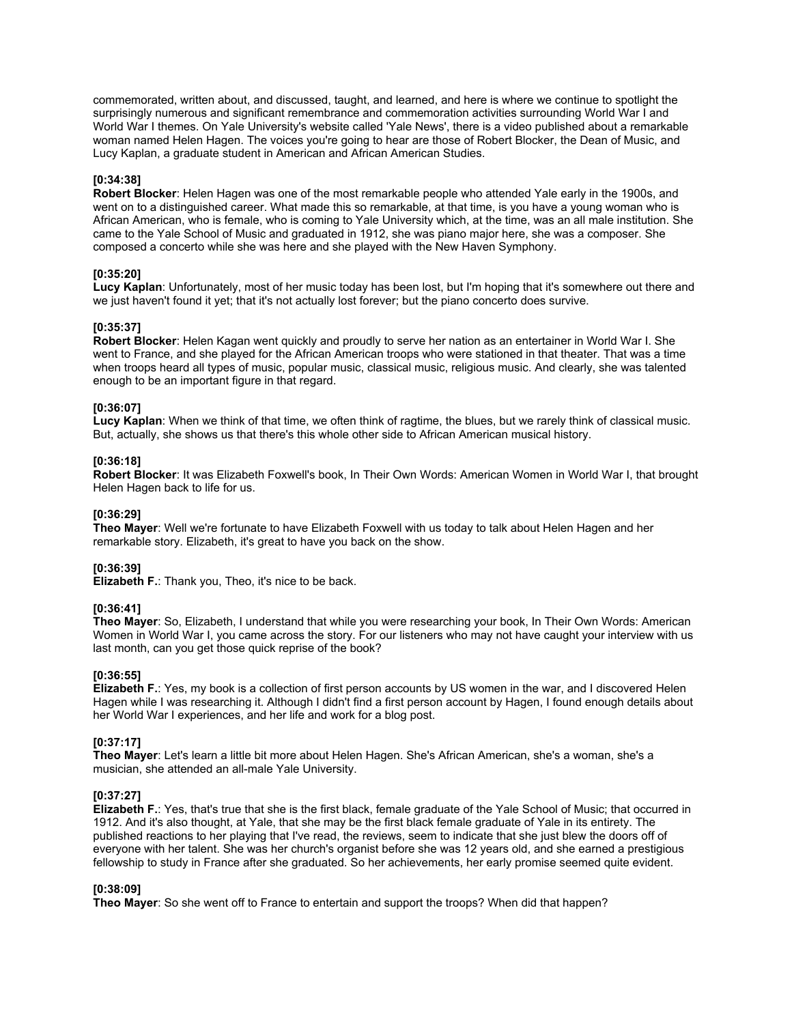commemorated, written about, and discussed, taught, and learned, and here is where we continue to spotlight the surprisingly numerous and significant remembrance and commemoration activities surrounding World War I and World War I themes. On Yale University's website called 'Yale News', there is a video published about a remarkable woman named Helen Hagen. The voices you're going to hear are those of Robert Blocker, the Dean of Music, and Lucy Kaplan, a graduate student in American and African American Studies.

# **[0:34:38]**

**Robert Blocker**: Helen Hagen was one of the most remarkable people who attended Yale early in the 1900s, and went on to a distinguished career. What made this so remarkable, at that time, is you have a young woman who is African American, who is female, who is coming to Yale University which, at the time, was an all male institution. She came to the Yale School of Music and graduated in 1912, she was piano major here, she was a composer. She composed a concerto while she was here and she played with the New Haven Symphony.

# **[0:35:20]**

**Lucy Kaplan**: Unfortunately, most of her music today has been lost, but I'm hoping that it's somewhere out there and we just haven't found it yet; that it's not actually lost forever; but the piano concerto does survive.

# **[0:35:37]**

**Robert Blocker**: Helen Kagan went quickly and proudly to serve her nation as an entertainer in World War I. She went to France, and she played for the African American troops who were stationed in that theater. That was a time when troops heard all types of music, popular music, classical music, religious music. And clearly, she was talented enough to be an important figure in that regard.

# **[0:36:07]**

**Lucy Kaplan**: When we think of that time, we often think of ragtime, the blues, but we rarely think of classical music. But, actually, she shows us that there's this whole other side to African American musical history.

# **[0:36:18]**

**Robert Blocker**: It was Elizabeth Foxwell's book, In Their Own Words: American Women in World War I, that brought Helen Hagen back to life for us.

# **[0:36:29]**

**Theo Mayer**: Well we're fortunate to have Elizabeth Foxwell with us today to talk about Helen Hagen and her remarkable story. Elizabeth, it's great to have you back on the show.

# **[0:36:39]**

**Elizabeth F.**: Thank you, Theo, it's nice to be back.

# **[0:36:41]**

**Theo Mayer**: So, Elizabeth, I understand that while you were researching your book, In Their Own Words: American Women in World War I, you came across the story. For our listeners who may not have caught your interview with us last month, can you get those quick reprise of the book?

# **[0:36:55]**

**Elizabeth F.**: Yes, my book is a collection of first person accounts by US women in the war, and I discovered Helen Hagen while I was researching it. Although I didn't find a first person account by Hagen, I found enough details about her World War I experiences, and her life and work for a blog post.

# **[0:37:17]**

**Theo Mayer**: Let's learn a little bit more about Helen Hagen. She's African American, she's a woman, she's a musician, she attended an all-male Yale University.

# **[0:37:27]**

**Elizabeth F.**: Yes, that's true that she is the first black, female graduate of the Yale School of Music; that occurred in 1912. And it's also thought, at Yale, that she may be the first black female graduate of Yale in its entirety. The published reactions to her playing that I've read, the reviews, seem to indicate that she just blew the doors off of everyone with her talent. She was her church's organist before she was 12 years old, and she earned a prestigious fellowship to study in France after she graduated. So her achievements, her early promise seemed quite evident.

# **[0:38:09]**

**Theo Mayer**: So she went off to France to entertain and support the troops? When did that happen?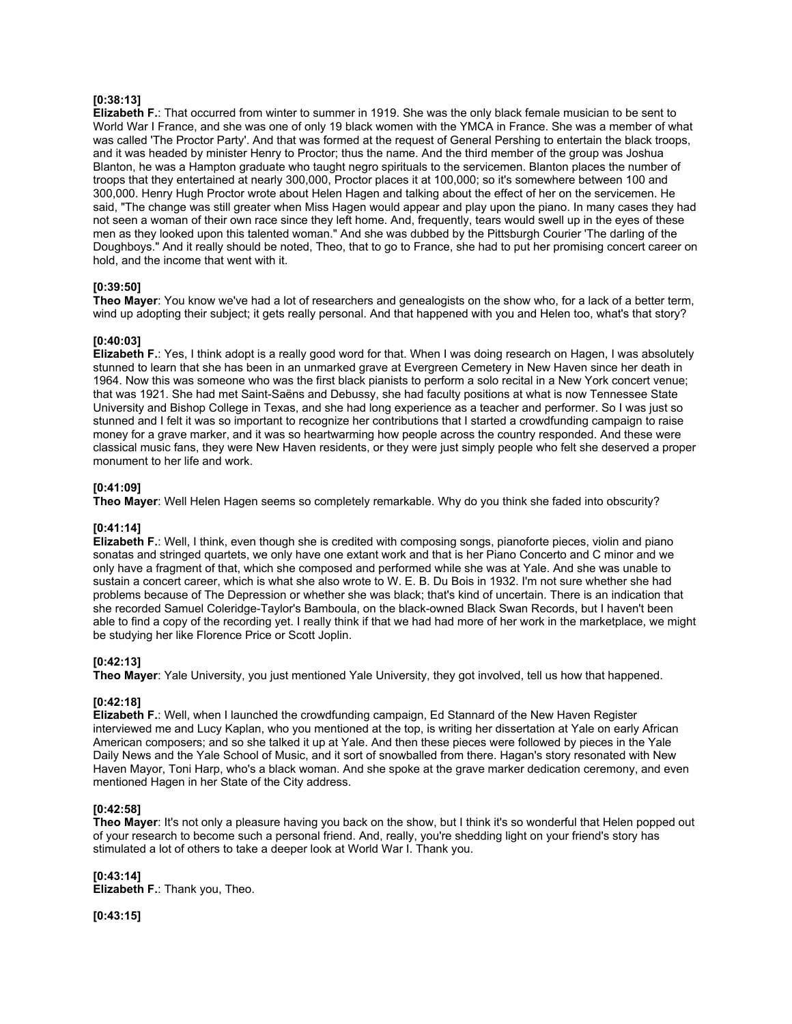# **[0:38:13]**

**Elizabeth F.**: That occurred from winter to summer in 1919. She was the only black female musician to be sent to World War I France, and she was one of only 19 black women with the YMCA in France. She was a member of what was called 'The Proctor Party'. And that was formed at the request of General Pershing to entertain the black troops, and it was headed by minister Henry to Proctor; thus the name. And the third member of the group was Joshua Blanton, he was a Hampton graduate who taught negro spirituals to the servicemen. Blanton places the number of troops that they entertained at nearly 300,000, Proctor places it at 100,000; so it's somewhere between 100 and 300,000. Henry Hugh Proctor wrote about Helen Hagen and talking about the effect of her on the servicemen. He said, "The change was still greater when Miss Hagen would appear and play upon the piano. In many cases they had not seen a woman of their own race since they left home. And, frequently, tears would swell up in the eyes of these men as they looked upon this talented woman." And she was dubbed by the Pittsburgh Courier 'The darling of the Doughboys." And it really should be noted, Theo, that to go to France, she had to put her promising concert career on hold, and the income that went with it.

# **[0:39:50]**

**Theo Mayer**: You know we've had a lot of researchers and genealogists on the show who, for a lack of a better term, wind up adopting their subject; it gets really personal. And that happened with you and Helen too, what's that story?

# **[0:40:03]**

**Elizabeth F.**: Yes, I think adopt is a really good word for that. When I was doing research on Hagen, I was absolutely stunned to learn that she has been in an unmarked grave at Evergreen Cemetery in New Haven since her death in 1964. Now this was someone who was the first black pianists to perform a solo recital in a New York concert venue; that was 1921. She had met Saint-Saëns and Debussy, she had faculty positions at what is now Tennessee State University and Bishop College in Texas, and she had long experience as a teacher and performer. So I was just so stunned and I felt it was so important to recognize her contributions that I started a crowdfunding campaign to raise money for a grave marker, and it was so heartwarming how people across the country responded. And these were classical music fans, they were New Haven residents, or they were just simply people who felt she deserved a proper monument to her life and work.

# **[0:41:09]**

**Theo Mayer**: Well Helen Hagen seems so completely remarkable. Why do you think she faded into obscurity?

# **[0:41:14]**

**Elizabeth F.**: Well, I think, even though she is credited with composing songs, pianoforte pieces, violin and piano sonatas and stringed quartets, we only have one extant work and that is her Piano Concerto and C minor and we only have a fragment of that, which she composed and performed while she was at Yale. And she was unable to sustain a concert career, which is what she also wrote to W. E. B. Du Bois in 1932. I'm not sure whether she had problems because of The Depression or whether she was black; that's kind of uncertain. There is an indication that she recorded Samuel Coleridge-Taylor's Bamboula, on the black-owned Black Swan Records, but I haven't been able to find a copy of the recording yet. I really think if that we had had more of her work in the marketplace, we might be studying her like Florence Price or Scott Joplin.

# **[0:42:13]**

**Theo Mayer**: Yale University, you just mentioned Yale University, they got involved, tell us how that happened.

# **[0:42:18]**

**Elizabeth F.**: Well, when I launched the crowdfunding campaign, Ed Stannard of the New Haven Register interviewed me and Lucy Kaplan, who you mentioned at the top, is writing her dissertation at Yale on early African American composers; and so she talked it up at Yale. And then these pieces were followed by pieces in the Yale Daily News and the Yale School of Music, and it sort of snowballed from there. Hagan's story resonated with New Haven Mayor, Toni Harp, who's a black woman. And she spoke at the grave marker dedication ceremony, and even mentioned Hagen in her State of the City address.

# **[0:42:58]**

**Theo Mayer**: It's not only a pleasure having you back on the show, but I think it's so wonderful that Helen popped out of your research to become such a personal friend. And, really, you're shedding light on your friend's story has stimulated a lot of others to take a deeper look at World War I. Thank you.

# **[0:43:14]**

**Elizabeth F.**: Thank you, Theo.

**[0:43:15]**